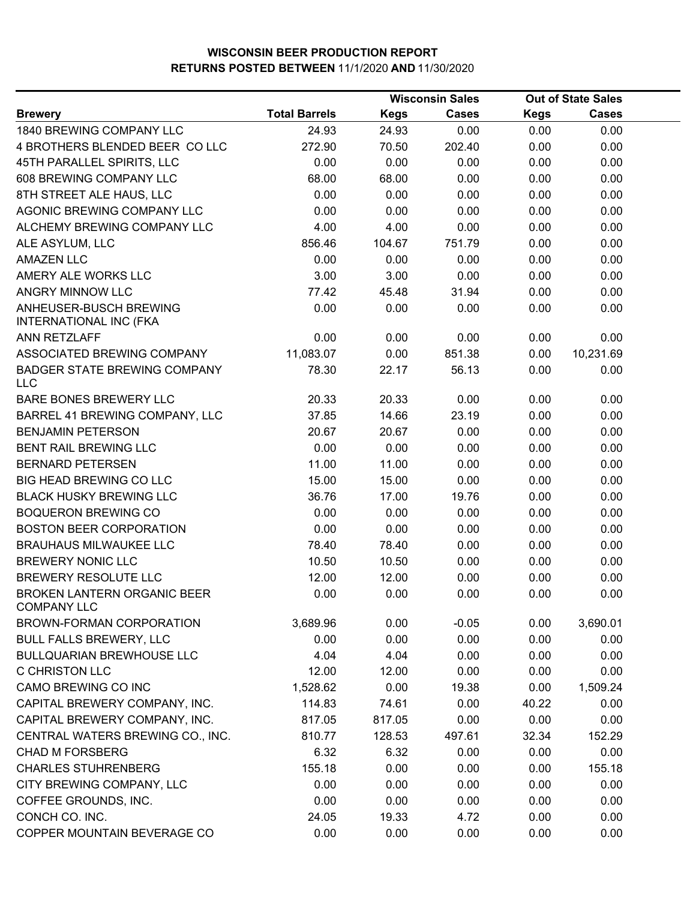|                                                          |                      |             | <b>Wisconsin Sales</b> |             | <b>Out of State Sales</b> |  |
|----------------------------------------------------------|----------------------|-------------|------------------------|-------------|---------------------------|--|
| <b>Brewery</b>                                           | <b>Total Barrels</b> | <b>Kegs</b> | <b>Cases</b>           | <b>Kegs</b> | <b>Cases</b>              |  |
| 1840 BREWING COMPANY LLC                                 | 24.93                | 24.93       | 0.00                   | 0.00        | 0.00                      |  |
| 4 BROTHERS BLENDED BEER COLLC                            | 272.90               | 70.50       | 202.40                 | 0.00        | 0.00                      |  |
| 45TH PARALLEL SPIRITS, LLC                               | 0.00                 | 0.00        | 0.00                   | 0.00        | 0.00                      |  |
| 608 BREWING COMPANY LLC                                  | 68.00                | 68.00       | 0.00                   | 0.00        | 0.00                      |  |
| 8TH STREET ALE HAUS, LLC                                 | 0.00                 | 0.00        | 0.00                   | 0.00        | 0.00                      |  |
| AGONIC BREWING COMPANY LLC                               | 0.00                 | 0.00        | 0.00                   | 0.00        | 0.00                      |  |
| ALCHEMY BREWING COMPANY LLC                              | 4.00                 | 4.00        | 0.00                   | 0.00        | 0.00                      |  |
| ALE ASYLUM, LLC                                          | 856.46               | 104.67      | 751.79                 | 0.00        | 0.00                      |  |
| <b>AMAZEN LLC</b>                                        | 0.00                 | 0.00        | 0.00                   | 0.00        | 0.00                      |  |
| AMERY ALE WORKS LLC                                      | 3.00                 | 3.00        | 0.00                   | 0.00        | 0.00                      |  |
| ANGRY MINNOW LLC                                         | 77.42                | 45.48       | 31.94                  | 0.00        | 0.00                      |  |
| ANHEUSER-BUSCH BREWING<br><b>INTERNATIONAL INC (FKA</b>  | 0.00                 | 0.00        | 0.00                   | 0.00        | 0.00                      |  |
| ANN RETZLAFF                                             | 0.00                 | 0.00        | 0.00                   | 0.00        | 0.00                      |  |
| ASSOCIATED BREWING COMPANY                               | 11,083.07            | 0.00        | 851.38                 | 0.00        | 10,231.69                 |  |
| <b>BADGER STATE BREWING COMPANY</b><br><b>LLC</b>        | 78.30                | 22.17       | 56.13                  | 0.00        | 0.00                      |  |
| BARE BONES BREWERY LLC                                   | 20.33                | 20.33       | 0.00                   | 0.00        | 0.00                      |  |
| BARREL 41 BREWING COMPANY, LLC                           | 37.85                | 14.66       | 23.19                  | 0.00        | 0.00                      |  |
| <b>BENJAMIN PETERSON</b>                                 | 20.67                | 20.67       | 0.00                   | 0.00        | 0.00                      |  |
| <b>BENT RAIL BREWING LLC</b>                             | 0.00                 | 0.00        | 0.00                   | 0.00        | 0.00                      |  |
| <b>BERNARD PETERSEN</b>                                  | 11.00                | 11.00       | 0.00                   | 0.00        | 0.00                      |  |
| <b>BIG HEAD BREWING CO LLC</b>                           | 15.00                | 15.00       | 0.00                   | 0.00        | 0.00                      |  |
| <b>BLACK HUSKY BREWING LLC</b>                           | 36.76                | 17.00       | 19.76                  | 0.00        | 0.00                      |  |
| <b>BOQUERON BREWING CO</b>                               | 0.00                 | 0.00        | 0.00                   | 0.00        | 0.00                      |  |
| <b>BOSTON BEER CORPORATION</b>                           | 0.00                 | 0.00        | 0.00                   | 0.00        | 0.00                      |  |
| <b>BRAUHAUS MILWAUKEE LLC</b>                            | 78.40                | 78.40       | 0.00                   | 0.00        | 0.00                      |  |
| <b>BREWERY NONIC LLC</b>                                 | 10.50                | 10.50       | 0.00                   | 0.00        | 0.00                      |  |
| BREWERY RESOLUTE LLC                                     | 12.00                | 12.00       | 0.00                   | 0.00        | 0.00                      |  |
| <b>BROKEN LANTERN ORGANIC BEER</b><br><b>COMPANY LLC</b> | 0.00                 | 0.00        | 0.00                   | 0.00        | 0.00                      |  |
| BROWN-FORMAN CORPORATION                                 | 3,689.96             | 0.00        | $-0.05$                | 0.00        | 3,690.01                  |  |
| <b>BULL FALLS BREWERY, LLC</b>                           | 0.00                 | 0.00        | 0.00                   | 0.00        | 0.00                      |  |
| <b>BULLQUARIAN BREWHOUSE LLC</b>                         | 4.04                 | 4.04        | 0.00                   | 0.00        | 0.00                      |  |
| <b>C CHRISTON LLC</b>                                    | 12.00                | 12.00       | 0.00                   | 0.00        | 0.00                      |  |
| CAMO BREWING CO INC                                      | 1,528.62             | 0.00        | 19.38                  | 0.00        | 1,509.24                  |  |
| CAPITAL BREWERY COMPANY, INC.                            | 114.83               | 74.61       | 0.00                   | 40.22       | 0.00                      |  |
| CAPITAL BREWERY COMPANY, INC.                            | 817.05               | 817.05      | 0.00                   | 0.00        | 0.00                      |  |
| CENTRAL WATERS BREWING CO., INC.                         | 810.77               | 128.53      | 497.61                 | 32.34       | 152.29                    |  |
| <b>CHAD M FORSBERG</b>                                   | 6.32                 | 6.32        | 0.00                   | 0.00        | 0.00                      |  |
| <b>CHARLES STUHRENBERG</b>                               | 155.18               | 0.00        | 0.00                   | 0.00        | 155.18                    |  |
| CITY BREWING COMPANY, LLC                                | 0.00                 | 0.00        | 0.00                   | 0.00        | 0.00                      |  |
| COFFEE GROUNDS, INC.                                     | 0.00                 | 0.00        | 0.00                   | 0.00        | 0.00                      |  |
| CONCH CO. INC.                                           | 24.05                | 19.33       | 4.72                   | 0.00        | 0.00                      |  |
| COPPER MOUNTAIN BEVERAGE CO                              | 0.00                 | 0.00        | 0.00                   | 0.00        | 0.00                      |  |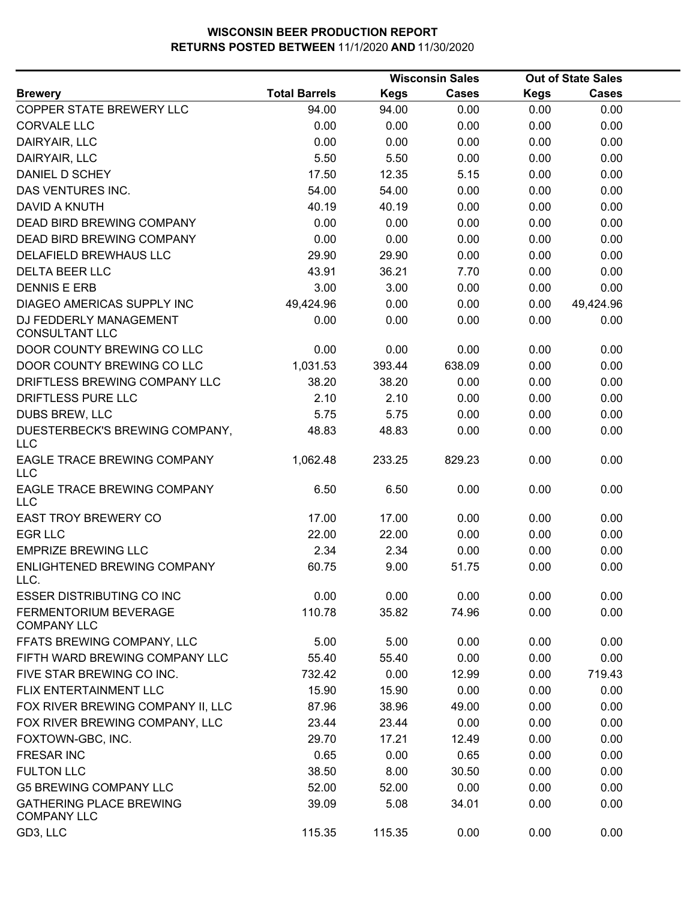|                                                      |                      |        | <b>Wisconsin Sales</b> |             | <b>Out of State Sales</b> |  |  |
|------------------------------------------------------|----------------------|--------|------------------------|-------------|---------------------------|--|--|
| <b>Brewery</b>                                       | <b>Total Barrels</b> | Kegs   | <b>Cases</b>           | <b>Kegs</b> | <b>Cases</b>              |  |  |
| COPPER STATE BREWERY LLC                             | 94.00                | 94.00  | 0.00                   | 0.00        | 0.00                      |  |  |
| <b>CORVALE LLC</b>                                   | 0.00                 | 0.00   | 0.00                   | 0.00        | 0.00                      |  |  |
| DAIRYAIR, LLC                                        | 0.00                 | 0.00   | 0.00                   | 0.00        | 0.00                      |  |  |
| DAIRYAIR, LLC                                        | 5.50                 | 5.50   | 0.00                   | 0.00        | 0.00                      |  |  |
| DANIEL D SCHEY                                       | 17.50                | 12.35  | 5.15                   | 0.00        | 0.00                      |  |  |
| DAS VENTURES INC.                                    | 54.00                | 54.00  | 0.00                   | 0.00        | 0.00                      |  |  |
| <b>DAVID A KNUTH</b>                                 | 40.19                | 40.19  | 0.00                   | 0.00        | 0.00                      |  |  |
| <b>DEAD BIRD BREWING COMPANY</b>                     | 0.00                 | 0.00   | 0.00                   | 0.00        | 0.00                      |  |  |
| DEAD BIRD BREWING COMPANY                            | 0.00                 | 0.00   | 0.00                   | 0.00        | 0.00                      |  |  |
| DELAFIELD BREWHAUS LLC                               | 29.90                | 29.90  | 0.00                   | 0.00        | 0.00                      |  |  |
| <b>DELTA BEER LLC</b>                                | 43.91                | 36.21  | 7.70                   | 0.00        | 0.00                      |  |  |
| <b>DENNIS E ERB</b>                                  | 3.00                 | 3.00   | 0.00                   | 0.00        | 0.00                      |  |  |
| DIAGEO AMERICAS SUPPLY INC                           | 49,424.96            | 0.00   | 0.00                   | 0.00        | 49,424.96                 |  |  |
| DJ FEDDERLY MANAGEMENT<br><b>CONSULTANT LLC</b>      | 0.00                 | 0.00   | 0.00                   | 0.00        | 0.00                      |  |  |
| DOOR COUNTY BREWING CO LLC                           | 0.00                 | 0.00   | 0.00                   | 0.00        | 0.00                      |  |  |
| DOOR COUNTY BREWING CO LLC                           | 1,031.53             | 393.44 | 638.09                 | 0.00        | 0.00                      |  |  |
| DRIFTLESS BREWING COMPANY LLC                        | 38.20                | 38.20  | 0.00                   | 0.00        | 0.00                      |  |  |
| DRIFTLESS PURE LLC                                   | 2.10                 | 2.10   | 0.00                   | 0.00        | 0.00                      |  |  |
| DUBS BREW, LLC                                       | 5.75                 | 5.75   | 0.00                   | 0.00        | 0.00                      |  |  |
| DUESTERBECK'S BREWING COMPANY,<br><b>LLC</b>         | 48.83                | 48.83  | 0.00                   | 0.00        | 0.00                      |  |  |
| EAGLE TRACE BREWING COMPANY<br><b>LLC</b>            | 1,062.48             | 233.25 | 829.23                 | 0.00        | 0.00                      |  |  |
| EAGLE TRACE BREWING COMPANY<br>LLC                   | 6.50                 | 6.50   | 0.00                   | 0.00        | 0.00                      |  |  |
| <b>EAST TROY BREWERY CO</b>                          | 17.00                | 17.00  | 0.00                   | 0.00        | 0.00                      |  |  |
| <b>EGR LLC</b>                                       | 22.00                | 22.00  | 0.00                   | 0.00        | 0.00                      |  |  |
| <b>EMPRIZE BREWING LLC</b>                           | 2.34                 | 2.34   | 0.00                   | 0.00        | 0.00                      |  |  |
| ENLIGHTENED BREWING COMPANY<br>LLC.                  | 60.75                | 9.00   | 51.75                  | 0.00        | 0.00                      |  |  |
| <b>ESSER DISTRIBUTING CO INC</b>                     | 0.00                 | 0.00   | 0.00                   | 0.00        | 0.00                      |  |  |
| FERMENTORIUM BEVERAGE<br><b>COMPANY LLC</b>          | 110.78               | 35.82  | 74.96                  | 0.00        | 0.00                      |  |  |
| FFATS BREWING COMPANY, LLC                           | 5.00                 | 5.00   | 0.00                   | 0.00        | 0.00                      |  |  |
| FIFTH WARD BREWING COMPANY LLC                       | 55.40                | 55.40  | 0.00                   | 0.00        | 0.00                      |  |  |
| FIVE STAR BREWING CO INC.                            | 732.42               | 0.00   | 12.99                  | 0.00        | 719.43                    |  |  |
| FLIX ENTERTAINMENT LLC                               | 15.90                | 15.90  | 0.00                   | 0.00        | 0.00                      |  |  |
| FOX RIVER BREWING COMPANY II, LLC                    | 87.96                | 38.96  | 49.00                  | 0.00        | 0.00                      |  |  |
| FOX RIVER BREWING COMPANY, LLC                       | 23.44                | 23.44  | 0.00                   | 0.00        | 0.00                      |  |  |
| FOXTOWN-GBC, INC.                                    | 29.70                | 17.21  | 12.49                  | 0.00        | 0.00                      |  |  |
| <b>FRESAR INC</b>                                    | 0.65                 | 0.00   | 0.65                   | 0.00        | 0.00                      |  |  |
| <b>FULTON LLC</b>                                    | 38.50                | 8.00   | 30.50                  | 0.00        | 0.00                      |  |  |
| <b>G5 BREWING COMPANY LLC</b>                        | 52.00                | 52.00  | 0.00                   | 0.00        | 0.00                      |  |  |
| <b>GATHERING PLACE BREWING</b><br><b>COMPANY LLC</b> | 39.09                | 5.08   | 34.01                  | 0.00        | 0.00                      |  |  |
| GD3, LLC                                             | 115.35               | 115.35 | 0.00                   | 0.00        | 0.00                      |  |  |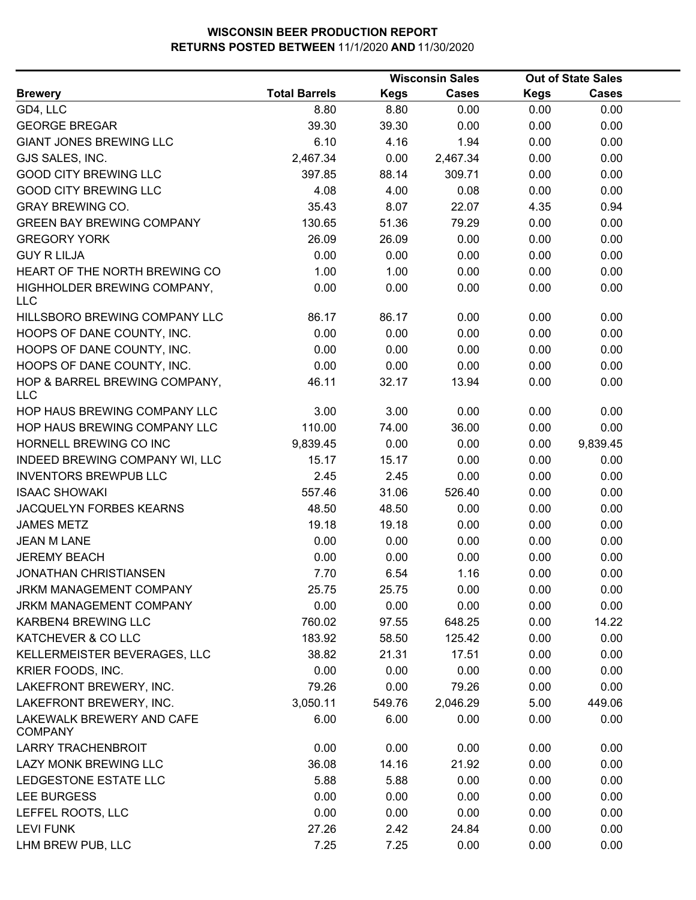|                                             |                      |             | <b>Wisconsin Sales</b> |             | <b>Out of State Sales</b> |  |
|---------------------------------------------|----------------------|-------------|------------------------|-------------|---------------------------|--|
| <b>Brewery</b>                              | <b>Total Barrels</b> | <b>Kegs</b> | <b>Cases</b>           | <b>Kegs</b> | <b>Cases</b>              |  |
| GD4, LLC                                    | 8.80                 | 8.80        | 0.00                   | 0.00        | 0.00                      |  |
| <b>GEORGE BREGAR</b>                        | 39.30                | 39.30       | 0.00                   | 0.00        | 0.00                      |  |
| <b>GIANT JONES BREWING LLC</b>              | 6.10                 | 4.16        | 1.94                   | 0.00        | 0.00                      |  |
| GJS SALES, INC.                             | 2,467.34             | 0.00        | 2,467.34               | 0.00        | 0.00                      |  |
| <b>GOOD CITY BREWING LLC</b>                | 397.85               | 88.14       | 309.71                 | 0.00        | 0.00                      |  |
| <b>GOOD CITY BREWING LLC</b>                | 4.08                 | 4.00        | 0.08                   | 0.00        | 0.00                      |  |
| <b>GRAY BREWING CO.</b>                     | 35.43                | 8.07        | 22.07                  | 4.35        | 0.94                      |  |
| <b>GREEN BAY BREWING COMPANY</b>            | 130.65               | 51.36       | 79.29                  | 0.00        | 0.00                      |  |
| <b>GREGORY YORK</b>                         | 26.09                | 26.09       | 0.00                   | 0.00        | 0.00                      |  |
| <b>GUY R LILJA</b>                          | 0.00                 | 0.00        | 0.00                   | 0.00        | 0.00                      |  |
| HEART OF THE NORTH BREWING CO               | 1.00                 | 1.00        | 0.00                   | 0.00        | 0.00                      |  |
| HIGHHOLDER BREWING COMPANY,<br><b>LLC</b>   | 0.00                 | 0.00        | 0.00                   | 0.00        | 0.00                      |  |
| HILLSBORO BREWING COMPANY LLC               | 86.17                | 86.17       | 0.00                   | 0.00        | 0.00                      |  |
| HOOPS OF DANE COUNTY, INC.                  | 0.00                 | 0.00        | 0.00                   | 0.00        | 0.00                      |  |
| HOOPS OF DANE COUNTY, INC.                  | 0.00                 | 0.00        | 0.00                   | 0.00        | 0.00                      |  |
| HOOPS OF DANE COUNTY, INC.                  | 0.00                 | 0.00        | 0.00                   | 0.00        | 0.00                      |  |
| HOP & BARREL BREWING COMPANY,<br><b>LLC</b> | 46.11                | 32.17       | 13.94                  | 0.00        | 0.00                      |  |
| HOP HAUS BREWING COMPANY LLC                | 3.00                 | 3.00        | 0.00                   | 0.00        | 0.00                      |  |
| HOP HAUS BREWING COMPANY LLC                | 110.00               | 74.00       | 36.00                  | 0.00        | 0.00                      |  |
| HORNELL BREWING CO INC                      | 9,839.45             | 0.00        | 0.00                   | 0.00        | 9,839.45                  |  |
| INDEED BREWING COMPANY WI, LLC              | 15.17                | 15.17       | 0.00                   | 0.00        | 0.00                      |  |
| <b>INVENTORS BREWPUB LLC</b>                | 2.45                 | 2.45        | 0.00                   | 0.00        | 0.00                      |  |
| <b>ISAAC SHOWAKI</b>                        | 557.46               | 31.06       | 526.40                 | 0.00        | 0.00                      |  |
| JACQUELYN FORBES KEARNS                     | 48.50                | 48.50       | 0.00                   | 0.00        | 0.00                      |  |
| <b>JAMES METZ</b>                           | 19.18                | 19.18       | 0.00                   | 0.00        | 0.00                      |  |
| <b>JEAN M LANE</b>                          | 0.00                 | 0.00        | 0.00                   | 0.00        | 0.00                      |  |
| <b>JEREMY BEACH</b>                         | 0.00                 | 0.00        | 0.00                   | 0.00        | 0.00                      |  |
| <b>JONATHAN CHRISTIANSEN</b>                | 7.70                 | 6.54        | 1.16                   | 0.00        | 0.00                      |  |
| <b>JRKM MANAGEMENT COMPANY</b>              | 25.75                | 25.75       | 0.00                   | 0.00        | 0.00                      |  |
| JRKM MANAGEMENT COMPANY                     | 0.00                 | 0.00        | 0.00                   | 0.00        | 0.00                      |  |
| KARBEN4 BREWING LLC                         | 760.02               | 97.55       | 648.25                 | 0.00        | 14.22                     |  |
| KATCHEVER & CO LLC                          | 183.92               | 58.50       | 125.42                 | 0.00        | 0.00                      |  |
| KELLERMEISTER BEVERAGES, LLC                | 38.82                | 21.31       | 17.51                  | 0.00        | 0.00                      |  |
| KRIER FOODS, INC.                           | 0.00                 | 0.00        | 0.00                   | 0.00        | 0.00                      |  |
| LAKEFRONT BREWERY, INC.                     | 79.26                | 0.00        | 79.26                  | 0.00        | 0.00                      |  |
| LAKEFRONT BREWERY, INC.                     | 3,050.11             | 549.76      | 2,046.29               | 5.00        | 449.06                    |  |
| LAKEWALK BREWERY AND CAFE<br><b>COMPANY</b> | 6.00                 | 6.00        | 0.00                   | 0.00        | 0.00                      |  |
| <b>LARRY TRACHENBROIT</b>                   | 0.00                 | 0.00        | 0.00                   | 0.00        | 0.00                      |  |
| LAZY MONK BREWING LLC                       | 36.08                | 14.16       | 21.92                  | 0.00        | 0.00                      |  |
| LEDGESTONE ESTATE LLC                       | 5.88                 | 5.88        | 0.00                   | 0.00        | 0.00                      |  |
| <b>LEE BURGESS</b>                          | 0.00                 | 0.00        | 0.00                   | 0.00        | 0.00                      |  |
| LEFFEL ROOTS, LLC                           | 0.00                 | 0.00        | 0.00                   | 0.00        | 0.00                      |  |
| <b>LEVI FUNK</b>                            | 27.26                | 2.42        | 24.84                  | 0.00        | 0.00                      |  |
| LHM BREW PUB, LLC                           | 7.25                 | 7.25        | 0.00                   | 0.00        | 0.00                      |  |
|                                             |                      |             |                        |             |                           |  |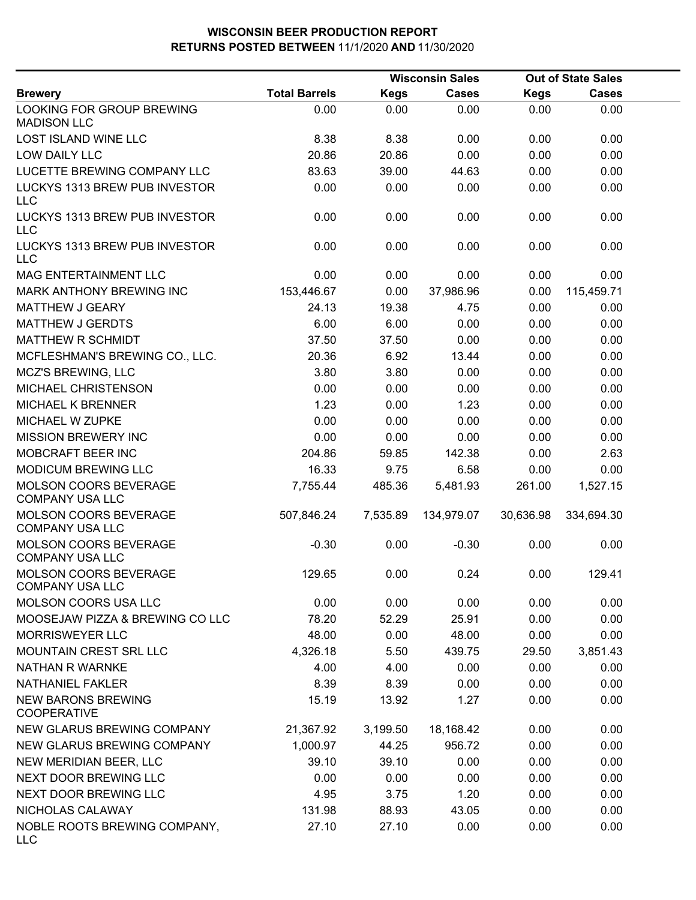|                                                        |                      |             | <b>Wisconsin Sales</b> |             | <b>Out of State Sales</b> |  |
|--------------------------------------------------------|----------------------|-------------|------------------------|-------------|---------------------------|--|
| <b>Brewery</b>                                         | <b>Total Barrels</b> | <b>Kegs</b> | <b>Cases</b>           | <b>Kegs</b> | <b>Cases</b>              |  |
| LOOKING FOR GROUP BREWING<br><b>MADISON LLC</b>        | 0.00                 | 0.00        | 0.00                   | 0.00        | 0.00                      |  |
| <b>LOST ISLAND WINE LLC</b>                            | 8.38                 | 8.38        | 0.00                   | 0.00        | 0.00                      |  |
| LOW DAILY LLC                                          | 20.86                | 20.86       | 0.00                   | 0.00        | 0.00                      |  |
| LUCETTE BREWING COMPANY LLC                            | 83.63                | 39.00       | 44.63                  | 0.00        | 0.00                      |  |
| LUCKYS 1313 BREW PUB INVESTOR<br><b>LLC</b>            | 0.00                 | 0.00        | 0.00                   | 0.00        | 0.00                      |  |
| LUCKYS 1313 BREW PUB INVESTOR<br><b>LLC</b>            | 0.00                 | 0.00        | 0.00                   | 0.00        | 0.00                      |  |
| LUCKYS 1313 BREW PUB INVESTOR<br><b>LLC</b>            | 0.00                 | 0.00        | 0.00                   | 0.00        | 0.00                      |  |
| MAG ENTERTAINMENT LLC                                  | 0.00                 | 0.00        | 0.00                   | 0.00        | 0.00                      |  |
| MARK ANTHONY BREWING INC                               | 153,446.67           | 0.00        | 37,986.96              | 0.00        | 115,459.71                |  |
| <b>MATTHEW J GEARY</b>                                 | 24.13                | 19.38       | 4.75                   | 0.00        | 0.00                      |  |
| <b>MATTHEW J GERDTS</b>                                | 6.00                 | 6.00        | 0.00                   | 0.00        | 0.00                      |  |
| <b>MATTHEW R SCHMIDT</b>                               | 37.50                | 37.50       | 0.00                   | 0.00        | 0.00                      |  |
| MCFLESHMAN'S BREWING CO., LLC.                         | 20.36                | 6.92        | 13.44                  | 0.00        | 0.00                      |  |
| <b>MCZ'S BREWING, LLC</b>                              | 3.80                 | 3.80        | 0.00                   | 0.00        | 0.00                      |  |
| MICHAEL CHRISTENSON                                    | 0.00                 | 0.00        | 0.00                   | 0.00        | 0.00                      |  |
| <b>MICHAEL K BRENNER</b>                               | 1.23                 | 0.00        | 1.23                   | 0.00        | 0.00                      |  |
| MICHAEL W ZUPKE                                        | 0.00                 | 0.00        | 0.00                   | 0.00        | 0.00                      |  |
| <b>MISSION BREWERY INC</b>                             | 0.00                 | 0.00        | 0.00                   | 0.00        | 0.00                      |  |
| MOBCRAFT BEER INC                                      | 204.86               | 59.85       | 142.38                 | 0.00        | 2.63                      |  |
| MODICUM BREWING LLC                                    | 16.33                | 9.75        | 6.58                   | 0.00        | 0.00                      |  |
| MOLSON COORS BEVERAGE<br><b>COMPANY USA LLC</b>        | 7,755.44             | 485.36      | 5,481.93               | 261.00      | 1,527.15                  |  |
| MOLSON COORS BEVERAGE<br><b>COMPANY USA LLC</b>        | 507,846.24           | 7,535.89    | 134,979.07             | 30,636.98   | 334,694.30                |  |
| MOLSON COORS BEVERAGE<br><b>COMPANY USA LLC</b>        | $-0.30$              | 0.00        | $-0.30$                | 0.00        | 0.00                      |  |
| <b>MOLSON COORS BEVERAGE</b><br><b>COMPANY USA LLC</b> | 129.65               | 0.00        | 0.24                   | 0.00        | 129.41                    |  |
| MOLSON COORS USA LLC                                   | 0.00                 | 0.00        | 0.00                   | 0.00        | 0.00                      |  |
| MOOSEJAW PIZZA & BREWING CO LLC                        | 78.20                | 52.29       | 25.91                  | 0.00        | 0.00                      |  |
| <b>MORRISWEYER LLC</b>                                 | 48.00                | 0.00        | 48.00                  | 0.00        | 0.00                      |  |
| <b>MOUNTAIN CREST SRL LLC</b>                          | 4,326.18             | 5.50        | 439.75                 | 29.50       | 3,851.43                  |  |
| <b>NATHAN R WARNKE</b>                                 | 4.00                 | 4.00        | 0.00                   | 0.00        | 0.00                      |  |
| <b>NATHANIEL FAKLER</b>                                | 8.39                 | 8.39        | 0.00                   | 0.00        | 0.00                      |  |
| <b>NEW BARONS BREWING</b><br><b>COOPERATIVE</b>        | 15.19                | 13.92       | 1.27                   | 0.00        | 0.00                      |  |
| NEW GLARUS BREWING COMPANY                             | 21,367.92            | 3,199.50    | 18,168.42              | 0.00        | 0.00                      |  |
| NEW GLARUS BREWING COMPANY                             | 1,000.97             | 44.25       | 956.72                 | 0.00        | 0.00                      |  |
| NEW MERIDIAN BEER, LLC                                 | 39.10                | 39.10       | 0.00                   | 0.00        | 0.00                      |  |
| NEXT DOOR BREWING LLC                                  | 0.00                 | 0.00        | 0.00                   | 0.00        | 0.00                      |  |
| NEXT DOOR BREWING LLC                                  | 4.95                 | 3.75        | 1.20                   | 0.00        | 0.00                      |  |
| NICHOLAS CALAWAY                                       | 131.98               | 88.93       | 43.05                  | 0.00        | 0.00                      |  |
| NOBLE ROOTS BREWING COMPANY,<br><b>LLC</b>             | 27.10                | 27.10       | 0.00                   | 0.00        | 0.00                      |  |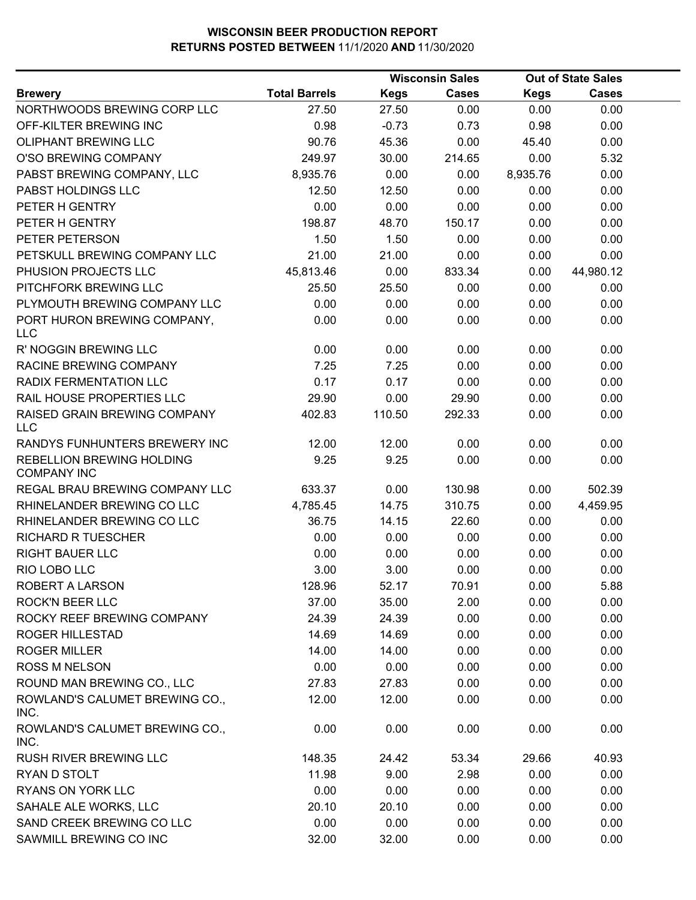|                                                 |                      |             | <b>Wisconsin Sales</b> |             | <b>Out of State Sales</b> |  |
|-------------------------------------------------|----------------------|-------------|------------------------|-------------|---------------------------|--|
| <b>Brewery</b>                                  | <b>Total Barrels</b> | <b>Kegs</b> | <b>Cases</b>           | <b>Kegs</b> | Cases                     |  |
| NORTHWOODS BREWING CORP LLC                     | 27.50                | 27.50       | 0.00                   | 0.00        | 0.00                      |  |
| OFF-KILTER BREWING INC                          | 0.98                 | $-0.73$     | 0.73                   | 0.98        | 0.00                      |  |
| <b>OLIPHANT BREWING LLC</b>                     | 90.76                | 45.36       | 0.00                   | 45.40       | 0.00                      |  |
| O'SO BREWING COMPANY                            | 249.97               | 30.00       | 214.65                 | 0.00        | 5.32                      |  |
| PABST BREWING COMPANY, LLC                      | 8,935.76             | 0.00        | 0.00                   | 8,935.76    | 0.00                      |  |
| PABST HOLDINGS LLC                              | 12.50                | 12.50       | 0.00                   | 0.00        | 0.00                      |  |
| PETER H GENTRY                                  | 0.00                 | 0.00        | 0.00                   | 0.00        | 0.00                      |  |
| PETER H GENTRY                                  | 198.87               | 48.70       | 150.17                 | 0.00        | 0.00                      |  |
| PETER PETERSON                                  | 1.50                 | 1.50        | 0.00                   | 0.00        | 0.00                      |  |
| PETSKULL BREWING COMPANY LLC                    | 21.00                | 21.00       | 0.00                   | 0.00        | 0.00                      |  |
| PHUSION PROJECTS LLC                            | 45,813.46            | 0.00        | 833.34                 | 0.00        | 44,980.12                 |  |
| PITCHFORK BREWING LLC                           | 25.50                | 25.50       | 0.00                   | 0.00        | 0.00                      |  |
| PLYMOUTH BREWING COMPANY LLC                    | 0.00                 | 0.00        | 0.00                   | 0.00        | 0.00                      |  |
| PORT HURON BREWING COMPANY,<br><b>LLC</b>       | 0.00                 | 0.00        | 0.00                   | 0.00        | 0.00                      |  |
| R' NOGGIN BREWING LLC                           | 0.00                 | 0.00        | 0.00                   | 0.00        | 0.00                      |  |
| RACINE BREWING COMPANY                          | 7.25                 | 7.25        | 0.00                   | 0.00        | 0.00                      |  |
| RADIX FERMENTATION LLC                          | 0.17                 | 0.17        | 0.00                   | 0.00        | 0.00                      |  |
| RAIL HOUSE PROPERTIES LLC                       | 29.90                | 0.00        | 29.90                  | 0.00        | 0.00                      |  |
| RAISED GRAIN BREWING COMPANY<br><b>LLC</b>      | 402.83               | 110.50      | 292.33                 | 0.00        | 0.00                      |  |
| RANDYS FUNHUNTERS BREWERY INC                   | 12.00                | 12.00       | 0.00                   | 0.00        | 0.00                      |  |
| REBELLION BREWING HOLDING<br><b>COMPANY INC</b> | 9.25                 | 9.25        | 0.00                   | 0.00        | 0.00                      |  |
| REGAL BRAU BREWING COMPANY LLC                  | 633.37               | 0.00        | 130.98                 | 0.00        | 502.39                    |  |
| RHINELANDER BREWING CO LLC                      | 4,785.45             | 14.75       | 310.75                 | 0.00        | 4,459.95                  |  |
| RHINELANDER BREWING CO LLC                      | 36.75                | 14.15       | 22.60                  | 0.00        | 0.00                      |  |
| <b>RICHARD R TUESCHER</b>                       | 0.00                 | 0.00        | 0.00                   | 0.00        | 0.00                      |  |
| <b>RIGHT BAUER LLC</b>                          | 0.00                 | 0.00        | 0.00                   | 0.00        | 0.00                      |  |
| RIO LOBO LLC                                    | 3.00                 | 3.00        | 0.00                   | 0.00        | 0.00                      |  |
| ROBERT A LARSON                                 | 128.96               | 52.17       | 70.91                  | 0.00        | 5.88                      |  |
| <b>ROCK'N BEER LLC</b>                          | 37.00                | 35.00       | 2.00                   | 0.00        | 0.00                      |  |
| ROCKY REEF BREWING COMPANY                      | 24.39                | 24.39       | 0.00                   | 0.00        | 0.00                      |  |
| ROGER HILLESTAD                                 | 14.69                | 14.69       | 0.00                   | 0.00        | 0.00                      |  |
| <b>ROGER MILLER</b>                             | 14.00                | 14.00       | 0.00                   | 0.00        | 0.00                      |  |
| <b>ROSS M NELSON</b>                            | 0.00                 | 0.00        | 0.00                   | 0.00        | 0.00                      |  |
| ROUND MAN BREWING CO., LLC                      | 27.83                | 27.83       | 0.00                   | 0.00        | 0.00                      |  |
| ROWLAND'S CALUMET BREWING CO.,<br>INC.          | 12.00                | 12.00       | 0.00                   | 0.00        | 0.00                      |  |
| ROWLAND'S CALUMET BREWING CO.,<br>INC.          | 0.00                 | 0.00        | 0.00                   | 0.00        | 0.00                      |  |
| <b>RUSH RIVER BREWING LLC</b>                   | 148.35               | 24.42       | 53.34                  | 29.66       | 40.93                     |  |
| RYAN D STOLT                                    | 11.98                | 9.00        | 2.98                   | 0.00        | 0.00                      |  |
| <b>RYANS ON YORK LLC</b>                        | 0.00                 | 0.00        | 0.00                   | 0.00        | 0.00                      |  |
| SAHALE ALE WORKS, LLC                           | 20.10                | 20.10       | 0.00                   | 0.00        | 0.00                      |  |
| SAND CREEK BREWING CO LLC                       | 0.00                 | 0.00        | 0.00                   | 0.00        | 0.00                      |  |
| SAWMILL BREWING CO INC                          | 32.00                | 32.00       | 0.00                   | 0.00        | 0.00                      |  |
|                                                 |                      |             |                        |             |                           |  |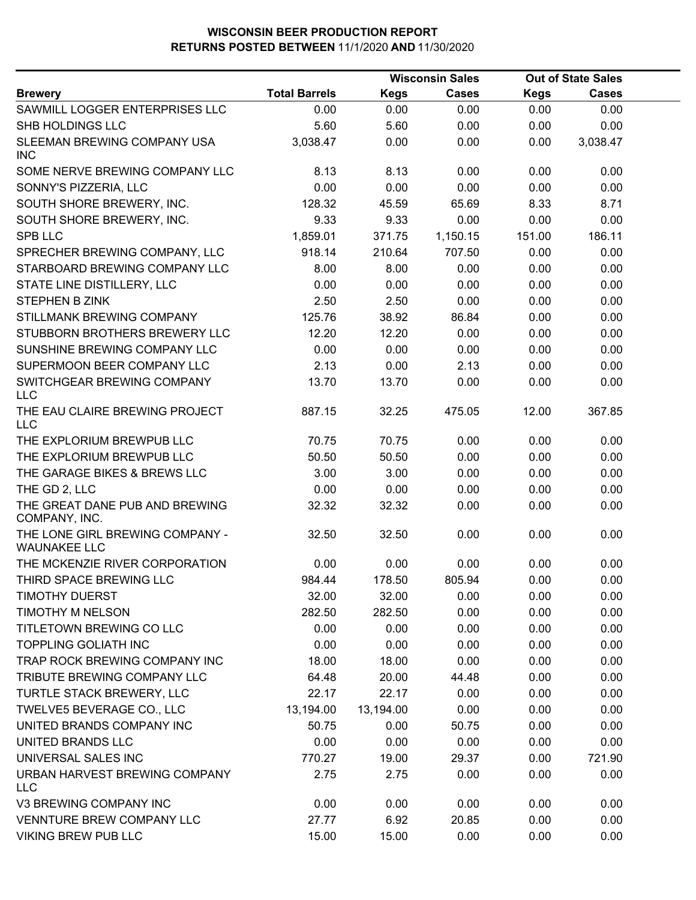|                                                        |                      |             | <b>Wisconsin Sales</b> |             | <b>Out of State Sales</b> |  |
|--------------------------------------------------------|----------------------|-------------|------------------------|-------------|---------------------------|--|
| <b>Brewery</b>                                         | <b>Total Barrels</b> | <b>Kegs</b> | <b>Cases</b>           | <b>Kegs</b> | Cases                     |  |
| SAWMILL LOGGER ENTERPRISES LLC                         | 0.00                 | 0.00        | 0.00                   | 0.00        | 0.00                      |  |
| SHB HOLDINGS LLC                                       | 5.60                 | 5.60        | 0.00                   | 0.00        | 0.00                      |  |
| SLEEMAN BREWING COMPANY USA<br><b>INC</b>              | 3,038.47             | 0.00        | 0.00                   | 0.00        | 3,038.47                  |  |
| SOME NERVE BREWING COMPANY LLC                         | 8.13                 | 8.13        | 0.00                   | 0.00        | 0.00                      |  |
| SONNY'S PIZZERIA, LLC                                  | 0.00                 | 0.00        | 0.00                   | 0.00        | 0.00                      |  |
| SOUTH SHORE BREWERY, INC.                              | 128.32               | 45.59       | 65.69                  | 8.33        | 8.71                      |  |
| SOUTH SHORE BREWERY, INC.                              | 9.33                 | 9.33        | 0.00                   | 0.00        | 0.00                      |  |
| <b>SPB LLC</b>                                         | 1,859.01             | 371.75      | 1,150.15               | 151.00      | 186.11                    |  |
| SPRECHER BREWING COMPANY, LLC                          | 918.14               | 210.64      | 707.50                 | 0.00        | 0.00                      |  |
| STARBOARD BREWING COMPANY LLC                          | 8.00                 | 8.00        | 0.00                   | 0.00        | 0.00                      |  |
| STATE LINE DISTILLERY, LLC                             | 0.00                 | 0.00        | 0.00                   | 0.00        | 0.00                      |  |
| <b>STEPHEN B ZINK</b>                                  | 2.50                 | 2.50        | 0.00                   | 0.00        | 0.00                      |  |
| STILLMANK BREWING COMPANY                              | 125.76               | 38.92       | 86.84                  | 0.00        | 0.00                      |  |
| STUBBORN BROTHERS BREWERY LLC                          | 12.20                | 12.20       | 0.00                   | 0.00        | 0.00                      |  |
| SUNSHINE BREWING COMPANY LLC                           | 0.00                 | 0.00        | 0.00                   | 0.00        | 0.00                      |  |
| SUPERMOON BEER COMPANY LLC                             | 2.13                 | 0.00        | 2.13                   | 0.00        | 0.00                      |  |
| SWITCHGEAR BREWING COMPANY<br><b>LLC</b>               | 13.70                | 13.70       | 0.00                   | 0.00        | 0.00                      |  |
| THE EAU CLAIRE BREWING PROJECT<br><b>LLC</b>           | 887.15               | 32.25       | 475.05                 | 12.00       | 367.85                    |  |
| THE EXPLORIUM BREWPUB LLC                              | 70.75                | 70.75       | 0.00                   | 0.00        | 0.00                      |  |
| THE EXPLORIUM BREWPUB LLC                              | 50.50                | 50.50       | 0.00                   | 0.00        | 0.00                      |  |
| THE GARAGE BIKES & BREWS LLC                           | 3.00                 | 3.00        | 0.00                   | 0.00        | 0.00                      |  |
| THE GD 2, LLC                                          | 0.00                 | 0.00        | 0.00                   | 0.00        | 0.00                      |  |
| THE GREAT DANE PUB AND BREWING<br>COMPANY, INC.        | 32.32                | 32.32       | 0.00                   | 0.00        | 0.00                      |  |
| THE LONE GIRL BREWING COMPANY -<br><b>WAUNAKEE LLC</b> | 32.50                | 32.50       | 0.00                   | 0.00        | 0.00                      |  |
| THE MCKENZIE RIVER CORPORATION                         | 0.00                 | 0.00        | 0.00                   | 0.00        | 0.00                      |  |
| THIRD SPACE BREWING LLC                                | 984.44               | 178.50      | 805.94                 | 0.00        | 0.00                      |  |
| <b>TIMOTHY DUERST</b>                                  | 32.00                | 32.00       | 0.00                   | 0.00        | 0.00                      |  |
| TIMOTHY M NELSON                                       | 282.50               | 282.50      | 0.00                   | 0.00        | 0.00                      |  |
| TITLETOWN BREWING CO LLC                               | 0.00                 | 0.00        | 0.00                   | 0.00        | 0.00                      |  |
| <b>TOPPLING GOLIATH INC</b>                            | 0.00                 | 0.00        | 0.00                   | 0.00        | 0.00                      |  |
| TRAP ROCK BREWING COMPANY INC                          | 18.00                | 18.00       | 0.00                   | 0.00        | 0.00                      |  |
| TRIBUTE BREWING COMPANY LLC                            | 64.48                | 20.00       | 44.48                  | 0.00        | 0.00                      |  |
| TURTLE STACK BREWERY, LLC                              | 22.17                | 22.17       | 0.00                   | 0.00        | 0.00                      |  |
| TWELVE5 BEVERAGE CO., LLC                              | 13,194.00            | 13,194.00   | 0.00                   | 0.00        | 0.00                      |  |
| UNITED BRANDS COMPANY INC                              | 50.75                | 0.00        | 50.75                  | 0.00        | 0.00                      |  |
| UNITED BRANDS LLC                                      | 0.00                 | 0.00        | 0.00                   | 0.00        | 0.00                      |  |
| UNIVERSAL SALES INC                                    | 770.27               | 19.00       | 29.37                  | 0.00        | 721.90                    |  |
| URBAN HARVEST BREWING COMPANY<br>LLC                   | 2.75                 | 2.75        | 0.00                   | 0.00        | 0.00                      |  |
| V3 BREWING COMPANY INC                                 | 0.00                 | 0.00        | 0.00                   | 0.00        | 0.00                      |  |
| VENNTURE BREW COMPANY LLC                              | 27.77                | 6.92        | 20.85                  | 0.00        | 0.00                      |  |
| <b>VIKING BREW PUB LLC</b>                             | 15.00                | 15.00       | 0.00                   | 0.00        | 0.00                      |  |